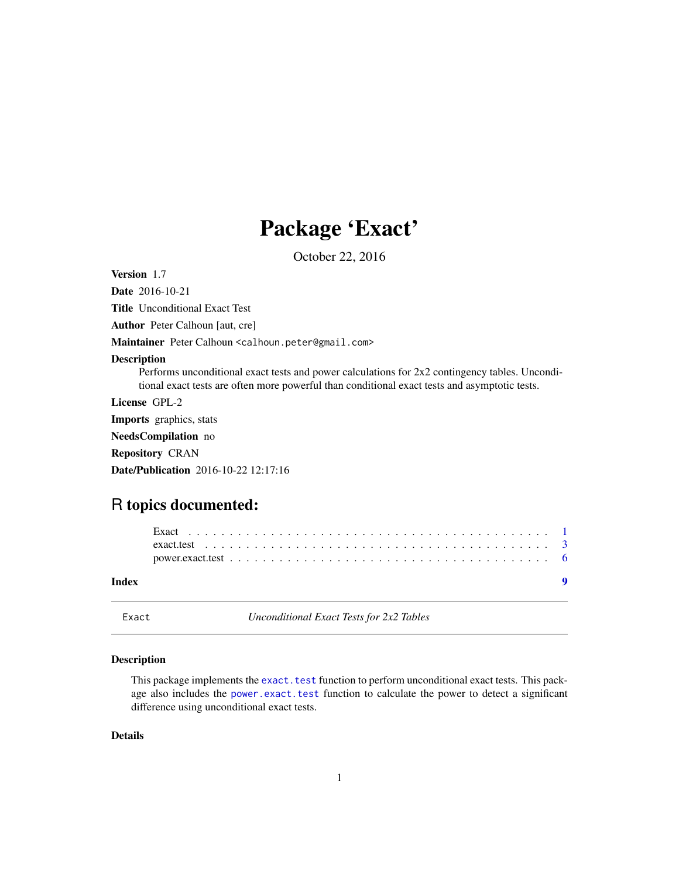## Package 'Exact'

October 22, 2016

<span id="page-0-0"></span>Version 1.7

Date 2016-10-21

Title Unconditional Exact Test

Author Peter Calhoun [aut, cre]

Maintainer Peter Calhoun <calhoun.peter@gmail.com>

#### Description

Performs unconditional exact tests and power calculations for 2x2 contingency tables. Unconditional exact tests are often more powerful than conditional exact tests and asymptotic tests.

License GPL-2

Imports graphics, stats

NeedsCompilation no

Repository CRAN

Date/Publication 2016-10-22 12:17:16

### R topics documented:

| Index |  |
|-------|--|
|       |  |
|       |  |
|       |  |

Exact *Unconditional Exact Tests for 2x2 Tables*

#### Description

This package implements the [exact.test](#page-2-1) function to perform unconditional exact tests. This package also includes the [power.exact.test](#page-5-1) function to calculate the power to detect a significant difference using unconditional exact tests.

#### Details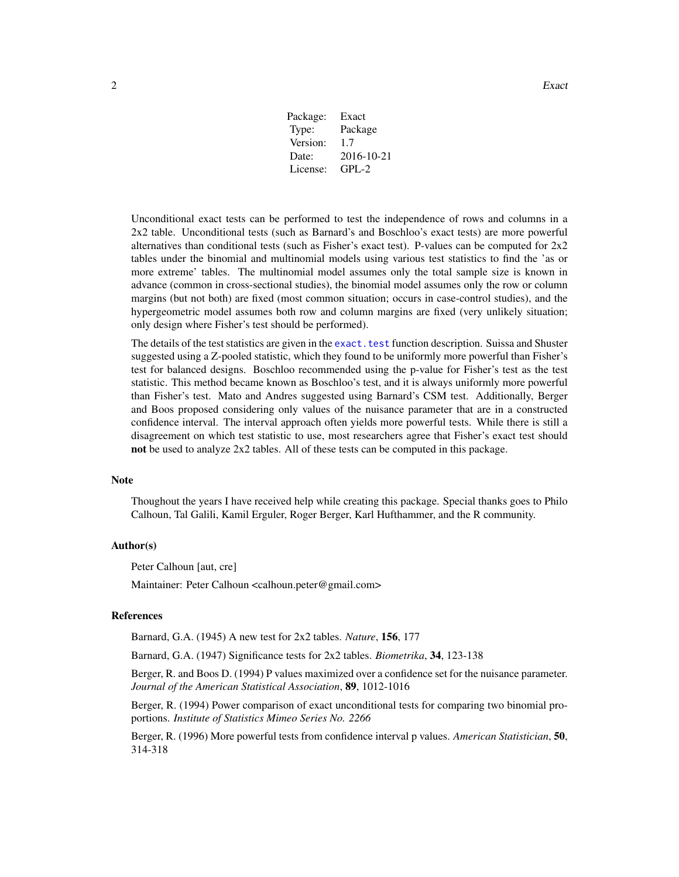Package: Exact Type: Package Version: 1.7 Date: 2016-10-21 License: GPL-2

<span id="page-1-0"></span>Unconditional exact tests can be performed to test the independence of rows and columns in a 2x2 table. Unconditional tests (such as Barnard's and Boschloo's exact tests) are more powerful alternatives than conditional tests (such as Fisher's exact test). P-values can be computed for 2x2 tables under the binomial and multinomial models using various test statistics to find the 'as or more extreme' tables. The multinomial model assumes only the total sample size is known in advance (common in cross-sectional studies), the binomial model assumes only the row or column margins (but not both) are fixed (most common situation; occurs in case-control studies), and the hypergeometric model assumes both row and column margins are fixed (very unlikely situation; only design where Fisher's test should be performed).

The details of the test statistics are given in the exact. test function description. Suissa and Shuster suggested using a Z-pooled statistic, which they found to be uniformly more powerful than Fisher's test for balanced designs. Boschloo recommended using the p-value for Fisher's test as the test statistic. This method became known as Boschloo's test, and it is always uniformly more powerful than Fisher's test. Mato and Andres suggested using Barnard's CSM test. Additionally, Berger and Boos proposed considering only values of the nuisance parameter that are in a constructed confidence interval. The interval approach often yields more powerful tests. While there is still a disagreement on which test statistic to use, most researchers agree that Fisher's exact test should not be used to analyze 2x2 tables. All of these tests can be computed in this package.

#### **Note**

Thoughout the years I have received help while creating this package. Special thanks goes to Philo Calhoun, Tal Galili, Kamil Erguler, Roger Berger, Karl Hufthammer, and the R community.

#### Author(s)

Peter Calhoun [aut, cre]

Maintainer: Peter Calhoun <calhoun.peter@gmail.com>

#### References

Barnard, G.A. (1945) A new test for 2x2 tables. *Nature*, 156, 177

Barnard, G.A. (1947) Significance tests for 2x2 tables. *Biometrika*, 34, 123-138

Berger, R. and Boos D. (1994) P values maximized over a confidence set for the nuisance parameter. *Journal of the American Statistical Association*, 89, 1012-1016

Berger, R. (1994) Power comparison of exact unconditional tests for comparing two binomial proportions. *Institute of Statistics Mimeo Series No. 2266*

Berger, R. (1996) More powerful tests from confidence interval p values. *American Statistician*, 50, 314-318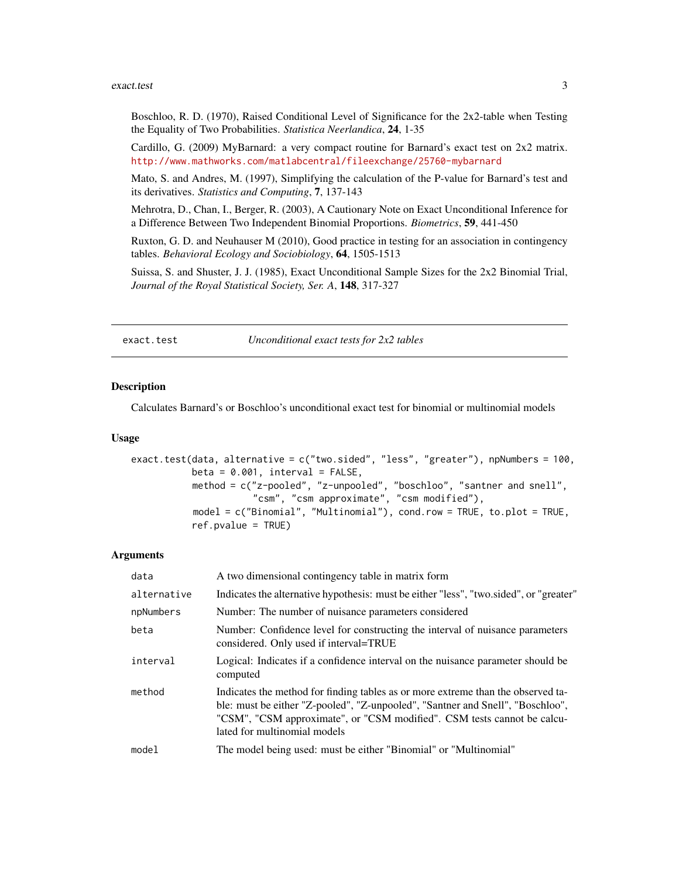#### <span id="page-2-0"></span>exact.test 3

Boschloo, R. D. (1970), Raised Conditional Level of Significance for the 2x2-table when Testing the Equality of Two Probabilities. *Statistica Neerlandica*, 24, 1-35

Cardillo, G. (2009) MyBarnard: a very compact routine for Barnard's exact test on 2x2 matrix. <http://www.mathworks.com/matlabcentral/fileexchange/25760-mybarnard>

Mato, S. and Andres, M. (1997), Simplifying the calculation of the P-value for Barnard's test and its derivatives. *Statistics and Computing*, 7, 137-143

Mehrotra, D., Chan, I., Berger, R. (2003), A Cautionary Note on Exact Unconditional Inference for a Difference Between Two Independent Binomial Proportions. *Biometrics*, 59, 441-450

Ruxton, G. D. and Neuhauser M (2010), Good practice in testing for an association in contingency tables. *Behavioral Ecology and Sociobiology*, 64, 1505-1513

Suissa, S. and Shuster, J. J. (1985), Exact Unconditional Sample Sizes for the 2x2 Binomial Trial, *Journal of the Royal Statistical Society, Ser. A*, 148, 317-327

<span id="page-2-1"></span>exact.test *Unconditional exact tests for 2x2 tables*

#### **Description**

Calculates Barnard's or Boschloo's unconditional exact test for binomial or multinomial models

#### Usage

```
exact.test(data, alternative = c("two.sided", "less", "greater"), npNumbers = 100,
           beta = 0.001, interval = FALSE,
           method = c("z-pooled", "z-unpooled", "boschloo", "santner and snell",
                      "csm", "csm approximate", "csm modified"),
           model = c("Binomial", "Multinomial"), cond.row = TRUE, to.plot = TRUE,
           ref.pvalue = TRUE)
```
#### Arguments

| data        | A two dimensional contingency table in matrix form                                                                                                                                                                                                                            |
|-------------|-------------------------------------------------------------------------------------------------------------------------------------------------------------------------------------------------------------------------------------------------------------------------------|
| alternative | Indicates the alternative hypothesis: must be either "less", "two.sided", or "greater"                                                                                                                                                                                        |
| npNumbers   | Number: The number of nuisance parameters considered                                                                                                                                                                                                                          |
| beta        | Number: Confidence level for constructing the interval of nuisance parameters<br>considered. Only used if interval=TRUE                                                                                                                                                       |
| interval    | Logical: Indicates if a confidence interval on the nuisance parameter should be<br>computed                                                                                                                                                                                   |
| method      | Indicates the method for finding tables as or more extreme than the observed ta-<br>ble: must be either "Z-pooled", "Z-unpooled", "Santner and Snell", "Boschloo",<br>"CSM", "CSM approximate", or "CSM modified". CSM tests cannot be calcu-<br>lated for multinomial models |
| model       | The model being used: must be either "Binomial" or "Multinomial"                                                                                                                                                                                                              |
|             |                                                                                                                                                                                                                                                                               |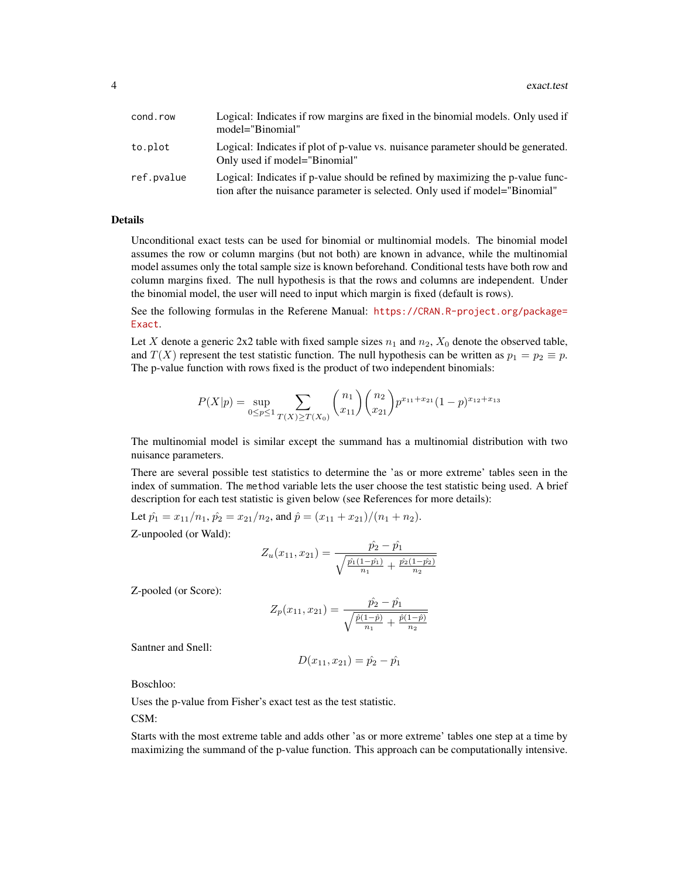| cond.row   | Logical: Indicates if row margins are fixed in the binomial models. Only used if<br>model="Binomial"                                                            |
|------------|-----------------------------------------------------------------------------------------------------------------------------------------------------------------|
| to.plot    | Logical: Indicates if plot of p-value vs. nuisance parameter should be generated.<br>Only used if model="Binomial"                                              |
| ref.pvalue | Logical: Indicates if p-value should be refined by maximizing the p-value func-<br>tion after the nuisance parameter is selected. Only used if model="Binomial" |

#### Details

Unconditional exact tests can be used for binomial or multinomial models. The binomial model assumes the row or column margins (but not both) are known in advance, while the multinomial model assumes only the total sample size is known beforehand. Conditional tests have both row and column margins fixed. The null hypothesis is that the rows and columns are independent. Under the binomial model, the user will need to input which margin is fixed (default is rows).

See the following formulas in the Referene Manual: [https://CRAN.R-project.org/package=](https://CRAN.R-project.org/package=Exact) [Exact](https://CRAN.R-project.org/package=Exact).

Let X denote a generic 2x2 table with fixed sample sizes  $n_1$  and  $n_2$ ,  $X_0$  denote the observed table, and  $T(X)$  represent the test statistic function. The null hypothesis can be written as  $p_1 = p_2 \equiv p$ . The p-value function with rows fixed is the product of two independent binomials:

$$
P(X|p) = \sup_{0 \le p \le 1} \sum_{T(X) \ge T(X_0)} {n_1 \choose x_{11}} {n_2 \choose x_{21}} p^{x_{11} + x_{21}} (1-p)^{x_{12} + x_{13}}
$$

The multinomial model is similar except the summand has a multinomial distribution with two nuisance parameters.

There are several possible test statistics to determine the 'as or more extreme' tables seen in the index of summation. The method variable lets the user choose the test statistic being used. A brief description for each test statistic is given below (see References for more details):

Let  $\hat{p}_1 = x_{11}/n_1$ ,  $\hat{p}_2 = x_{21}/n_2$ , and  $\hat{p} = (x_{11} + x_{21})/(n_1 + n_2)$ . Z-unpooled (or Wald):

$$
Z_u(x_{11}, x_{21}) = \frac{\hat{p_2} - \hat{p_1}}{\sqrt{\frac{\hat{p_1}(1 - \hat{p_1})}{n_1} + \frac{\hat{p_2}(1 - \hat{p_2})}{n_2}}}
$$

Z-pooled (or Score):

$$
Z_p(x_{11}, x_{21}) = \frac{\hat{p}_2 - \hat{p}_1}{\sqrt{\frac{\hat{p}(1-\hat{p})}{n_1} + \frac{\hat{p}(1-\hat{p})}{n_2}}}
$$

Santner and Snell:

$$
D(x_{11}, x_{21}) = \hat{p_2} - \hat{p_1}
$$

Boschloo:

Uses the p-value from Fisher's exact test as the test statistic.

CSM:

Starts with the most extreme table and adds other 'as or more extreme' tables one step at a time by maximizing the summand of the p-value function. This approach can be computationally intensive.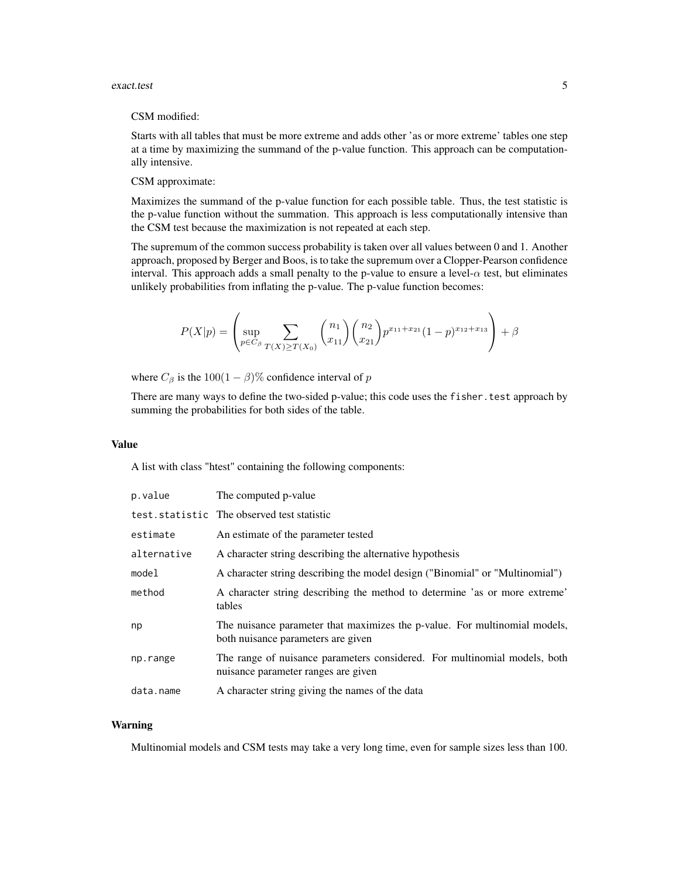#### exact.test 5

#### CSM modified:

Starts with all tables that must be more extreme and adds other 'as or more extreme' tables one step at a time by maximizing the summand of the p-value function. This approach can be computationally intensive.

#### CSM approximate:

Maximizes the summand of the p-value function for each possible table. Thus, the test statistic is the p-value function without the summation. This approach is less computationally intensive than the CSM test because the maximization is not repeated at each step.

The supremum of the common success probability is taken over all values between 0 and 1. Another approach, proposed by Berger and Boos, is to take the supremum over a Clopper-Pearson confidence interval. This approach adds a small penalty to the p-value to ensure a level- $\alpha$  test, but eliminates unlikely probabilities from inflating the p-value. The p-value function becomes:

$$
P(X|p) = \left(\sup_{p \in C_{\beta}} \sum_{T(X) \ge T(X_0)} {n_1 \choose x_{11}} {n_2 \choose x_{21}} p^{x_{11} + x_{21}} (1-p)^{x_{12} + x_{13}} \right) + \beta
$$

where  $C_\beta$  is the 100(1 –  $\beta$ )% confidence interval of p

There are many ways to define the two-sided p-value; this code uses the fisher. test approach by summing the probabilities for both sides of the table.

#### Value

A list with class "htest" containing the following components:

| p.value     | The computed p-value                                                                                             |
|-------------|------------------------------------------------------------------------------------------------------------------|
|             | test.statistic The observed test statistic                                                                       |
| estimate    | An estimate of the parameter tested                                                                              |
| alternative | A character string describing the alternative hypothesis                                                         |
| model       | A character string describing the model design ("Binomial" or "Multinomial")                                     |
| method      | A character string describing the method to determine 'as or more extreme'<br>tables                             |
| np          | The nuisance parameter that maximizes the p-value. For multinomial models,<br>both nuisance parameters are given |
| np.range    | The range of nuisance parameters considered. For multinomial models, both<br>nuisance parameter ranges are given |
| data.name   | A character string giving the names of the data                                                                  |

#### Warning

Multinomial models and CSM tests may take a very long time, even for sample sizes less than 100.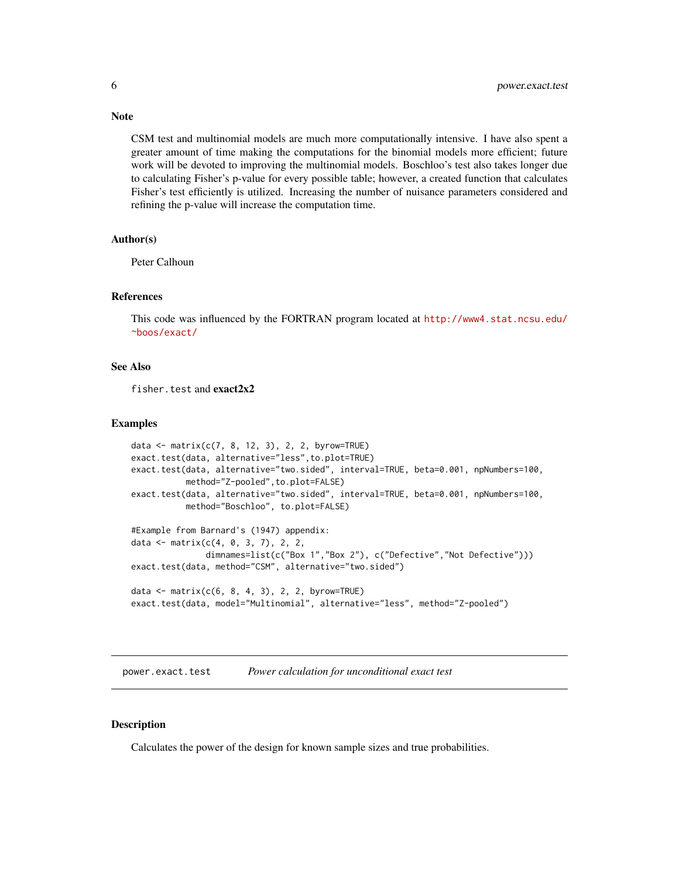CSM test and multinomial models are much more computationally intensive. I have also spent a greater amount of time making the computations for the binomial models more efficient; future work will be devoted to improving the multinomial models. Boschloo's test also takes longer due to calculating Fisher's p-value for every possible table; however, a created function that calculates Fisher's test efficiently is utilized. Increasing the number of nuisance parameters considered and refining the p-value will increase the computation time.

#### Author(s)

Peter Calhoun

#### References

This code was influenced by the FORTRAN program located at [http://www4.stat.ncsu.edu/](http://www4.stat.ncsu.edu/~boos/exact/) [~boos/exact/](http://www4.stat.ncsu.edu/~boos/exact/)

#### See Also

fisher.test and exact2x2

#### Examples

```
data <- matrix(c(7, 8, 12, 3), 2, 2, byrow=TRUE)
exact.test(data, alternative="less",to.plot=TRUE)
exact.test(data, alternative="two.sided", interval=TRUE, beta=0.001, npNumbers=100,
           method="Z-pooled",to.plot=FALSE)
exact.test(data, alternative="two.sided", interval=TRUE, beta=0.001, npNumbers=100,
           method="Boschloo", to.plot=FALSE)
#Example from Barnard's (1947) appendix:
data <- matrix(c(4, 0, 3, 7), 2, 2,
               dimnames=list(c("Box 1","Box 2"), c("Defective","Not Defective")))
exact.test(data, method="CSM", alternative="two.sided")
data <- matrix(c(6, 8, 4, 3), 2, 2, byrow=TRUE)
```

```
exact.test(data, model="Multinomial", alternative="less", method="Z-pooled")
```
<span id="page-5-1"></span>power.exact.test *Power calculation for unconditional exact test*

#### **Description**

Calculates the power of the design for known sample sizes and true probabilities.

### <span id="page-5-0"></span>**Note**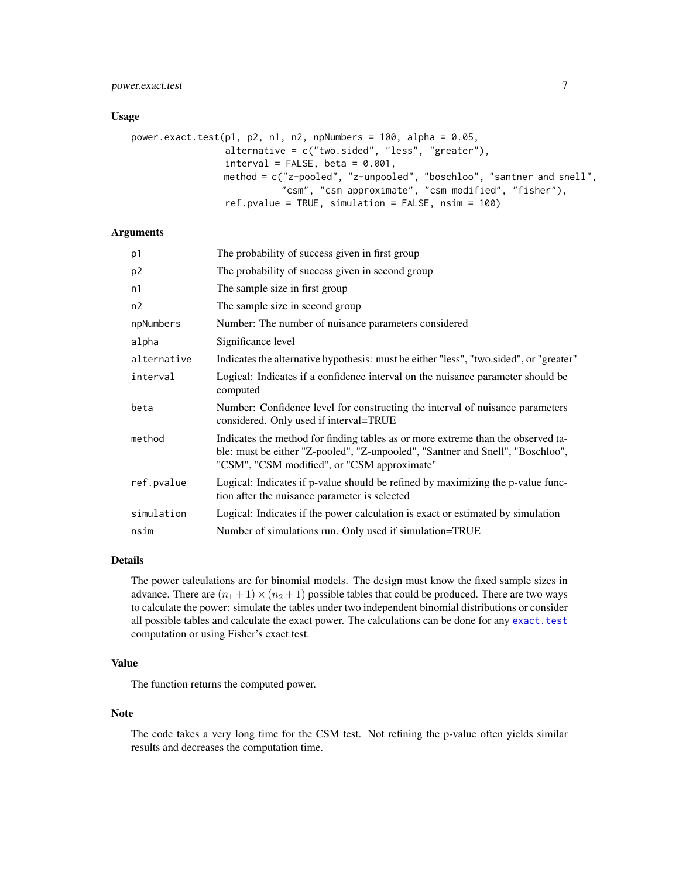#### <span id="page-6-0"></span>power.exact.test 7

#### Usage

```
power.exact.test(p1, p2, n1, n2, npNumbers = 100, alpha = 0.05,
                 alternative = c("two.sided", "less", "greater"),
                 interval = FALSE, beta = 0.001,method = c("z-pooled", "z-unpooled", "boschloo", "santner and snell",
                           "csm", "csm approximate", "csm modified", "fisher"),
                 ref.pvalue = TRUE, simulation = FALSE, nsim = 100)
```
#### **Arguments**

| p1          | The probability of success given in first group                                                                                                                                                                   |
|-------------|-------------------------------------------------------------------------------------------------------------------------------------------------------------------------------------------------------------------|
| p2          | The probability of success given in second group                                                                                                                                                                  |
| n1          | The sample size in first group                                                                                                                                                                                    |
| n2          | The sample size in second group                                                                                                                                                                                   |
| npNumbers   | Number: The number of nuisance parameters considered                                                                                                                                                              |
| alpha       | Significance level                                                                                                                                                                                                |
| alternative | Indicates the alternative hypothesis: must be either "less", "two.sided", or "greater"                                                                                                                            |
| interval    | Logical: Indicates if a confidence interval on the nuisance parameter should be<br>computed                                                                                                                       |
| beta        | Number: Confidence level for constructing the interval of nuisance parameters<br>considered. Only used if interval=TRUE                                                                                           |
| method      | Indicates the method for finding tables as or more extreme than the observed ta-<br>ble: must be either "Z-pooled", "Z-unpooled", "Santner and Snell", "Boschloo",<br>"CSM", "CSM modified", or "CSM approximate" |
| ref.pvalue  | Logical: Indicates if p-value should be refined by maximizing the p-value func-<br>tion after the nuisance parameter is selected                                                                                  |
| simulation  | Logical: Indicates if the power calculation is exact or estimated by simulation                                                                                                                                   |
| nsim        | Number of simulations run. Only used if simulation=TRUE                                                                                                                                                           |

#### Details

The power calculations are for binomial models. The design must know the fixed sample sizes in advance. There are  $(n_1 + 1) \times (n_2 + 1)$  possible tables that could be produced. There are two ways to calculate the power: simulate the tables under two independent binomial distributions or consider all possible tables and calculate the exact power. The calculations can be done for any [exact.test](#page-2-1) computation or using Fisher's exact test.

#### Value

The function returns the computed power.

#### Note

The code takes a very long time for the CSM test. Not refining the p-value often yields similar results and decreases the computation time.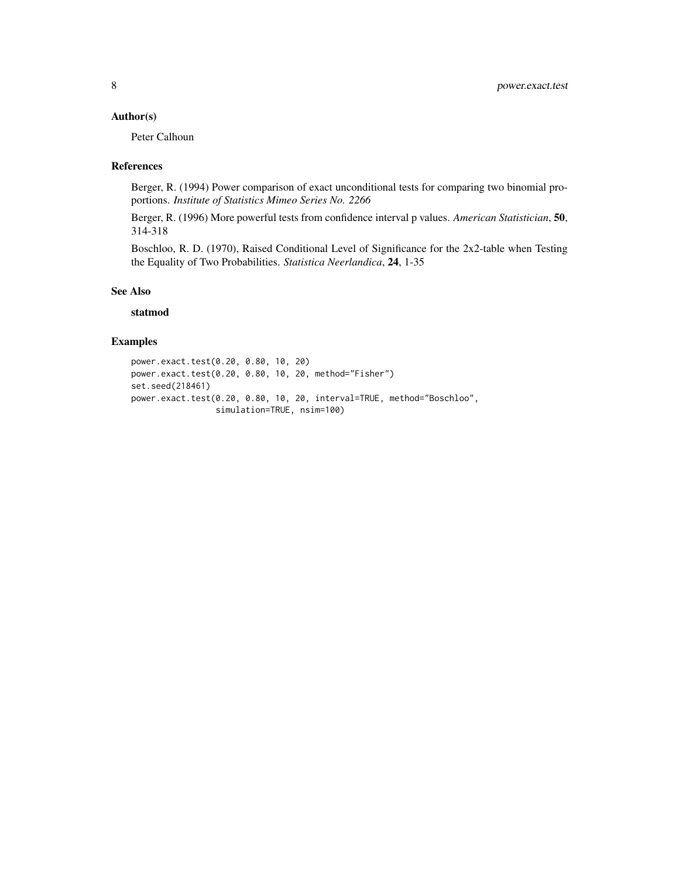#### Author(s)

Peter Calhoun

#### References

Berger, R. (1994) Power comparison of exact unconditional tests for comparing two binomial proportions. *Institute of Statistics Mimeo Series No. 2266*

Berger, R. (1996) More powerful tests from confidence interval p values. *American Statistician*, 50, 314-318

Boschloo, R. D. (1970), Raised Conditional Level of Significance for the 2x2-table when Testing the Equality of Two Probabilities. *Statistica Neerlandica*, 24, 1-35

#### See Also

#### statmod

### Examples

power.exact.test(0.20, 0.80, 10, 20) power.exact.test(0.20, 0.80, 10, 20, method="Fisher") set.seed(218461) power.exact.test(0.20, 0.80, 10, 20, interval=TRUE, method="Boschloo", simulation=TRUE, nsim=100)